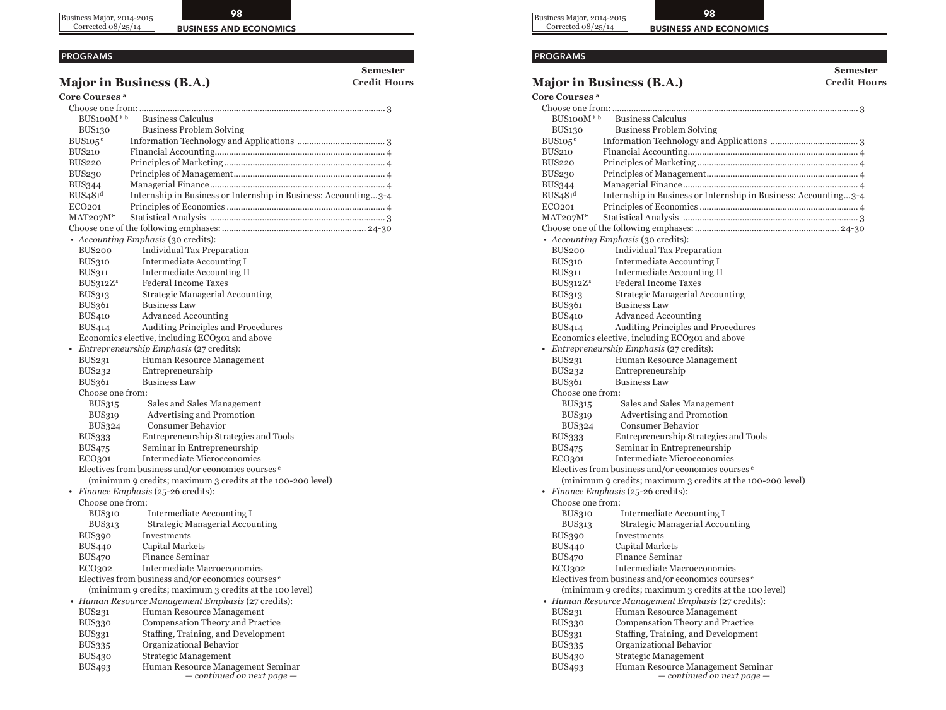Business Major, 2014-2015 Corrected 08/25/14



**Semester** 

### PROGRAMS

### **Major in Business (B.A.) Credit Hours Credit**

**Core Courses a**

| $BUS100M*b$                      | <b>Business Calculus</b>                                            |  |  |
|----------------------------------|---------------------------------------------------------------------|--|--|
| <b>BUS130</b>                    | <b>Business Problem Solving</b>                                     |  |  |
| $BUS105^{\circ}$                 |                                                                     |  |  |
| <b>BUS210</b>                    |                                                                     |  |  |
| BUS220                           |                                                                     |  |  |
| <b>BUS230</b>                    |                                                                     |  |  |
| <b>BUS344</b>                    |                                                                     |  |  |
| BUS <sub>4</sub> 81 <sup>d</sup> | Internship in Business or Internship in Business: Accounting3-4     |  |  |
| ECO <sub>201</sub>               |                                                                     |  |  |
| $MAT207M*$                       |                                                                     |  |  |
|                                  |                                                                     |  |  |
|                                  | • Accounting Emphasis (30 credits):                                 |  |  |
| BUS <sub>200</sub>               | <b>Individual Tax Preparation</b>                                   |  |  |
| <b>BUS310</b>                    | Intermediate Accounting I                                           |  |  |
| <b>BUS311</b>                    | Intermediate Accounting II                                          |  |  |
| $BUS312Z^*$                      | <b>Federal Income Taxes</b>                                         |  |  |
| <b>BUS313</b>                    | Strategic Managerial Accounting                                     |  |  |
| BUS361                           | Business Law                                                        |  |  |
| <b>BUS410</b>                    | Advanced Accounting                                                 |  |  |
| <b>BUS414</b>                    | Auditing Principles and Procedures                                  |  |  |
|                                  | Economics elective, including ECO301 and above                      |  |  |
|                                  | Entrepreneurship Emphasis (27 credits):                             |  |  |
| <b>BUS231</b>                    | Human Resource Management                                           |  |  |
| BUS232                           | Entrepreneurship                                                    |  |  |
| BUS361                           | <b>Business Law</b>                                                 |  |  |
| Choose one from:                 |                                                                     |  |  |
| BUS315                           | Sales and Sales Management                                          |  |  |
| BUS319                           | Advertising and Promotion                                           |  |  |
| BUS324                           | <b>Consumer Behavior</b>                                            |  |  |
| <b>BUS333</b>                    | Entrepreneurship Strategies and Tools                               |  |  |
| <b>BUS475</b>                    | Seminar in Entrepreneurship                                         |  |  |
| ECO301                           | Intermediate Microeconomics                                         |  |  |
|                                  | Electives from business and/or economics courses <sup>e</sup>       |  |  |
|                                  | (minimum 9 credits; maximum 3 credits at the 100-200 level)         |  |  |
|                                  | Finance Emphasis (25-26 credits):                                   |  |  |
| Choose one from:                 |                                                                     |  |  |
| <b>BUS310</b>                    | Intermediate Accounting I                                           |  |  |
| BUS313                           | <b>Strategic Managerial Accounting</b>                              |  |  |
| BUS390                           | Investments                                                         |  |  |
| BUS440                           | Capital Markets                                                     |  |  |
| BUS470                           | Finance Seminar                                                     |  |  |
| ECO302                           | Intermediate Macroeconomics                                         |  |  |
|                                  | Electives from business and/or economics courses <sup>e</sup>       |  |  |
|                                  | (minimum 9 credits; maximum 3 credits at the 100 level)             |  |  |
|                                  | • Human Resource Management Emphasis (27 credits):                  |  |  |
| <b>BUS231</b>                    | Human Resource Management                                           |  |  |
| BUS330                           | Compensation Theory and Practice                                    |  |  |
| <b>BUS331</b>                    | Staffing, Training, and Development                                 |  |  |
| <b>BUS335</b>                    | Organizational Behavior                                             |  |  |
| <b>BUS430</b>                    | <b>Strategic Management</b>                                         |  |  |
| <b>BUS493</b>                    | Human Resource Management Seminar<br>$-$ continued on next page $-$ |  |  |





**Semester** 

# PROGRAMS

## **Major in Business (B.A.) Credit Hours Credit**

**Core Courses a** Choose one from: ........................................................................................................ 3  $BUS100M^*$ <sup>b</sup> Business Calculus BUS130 Business Problem Solving BUS105c Information Technology and Applications ..................................... 3 BUS210 Financial Accounting........................................................................ 4 BUS220 Principles of Marketing .................................................................... 4 BUS230 Principles of Management................................................................ 4 BUS344 Managerial Finance.......................................................................... 4  $BUS_481^d$  Internship in Business or Internship in Business: Accounting...3-4 ECO201 Principles of Economics ................................................................... 4 MAT207M\* Statistical Analysis .......................................................................... 3 Choose one of the following emphases:............................................................. 24*-*30  *• Accounting Emphasis* (30 credits): BUS200 Individual Tax Preparation BUS310 Intermediate Accounting I BUS311 Intermediate Accounting II BUS312Z\* Federal Income Taxes BUS313 Strategic Managerial Accounting BUS361 Business Law BUS410 Advanced Accounting BUS414 Auditing Principles and Procedures Economics elective, including ECO301 and above *• Entrepreneurship Emphasis* (27 credits): BUS231 Human Resource Management BUS232 Entrepreneurship BUS361 Business Law Choose one from: BUS315 Sales and Sales Management BUS319 Advertising and Promotion BUS324 Consumer Behavior BUS333 Entrepreneurship Strategies and Tools BUS475 Seminar in Entrepreneurship ECO301 Intermediate Microeconomics Electives from business and/or economics courses e (minimum 9 credits; maximum 3 credits at the 100-200 level) *• Finance Emphasis* (25-26 credits): Choose one from: BUS310 Intermediate Accounting I BUS313 Strategic Managerial Accounting BUS390 Investments BUS440 Capital Markets BUS470 Finance Seminar ECO302 Intermediate Macroeconomics Electives from business and/or economics courses e (minimum 9 credits; maximum 3 credits at the 100 level)  *• Human Resource Management Emphasis* (27 credits): BUS231 Human Resource Management BUS330 Compensation Theory and Practice BUS331 Staffing, Training, and Development BUS335 Organizational Behavior BUS430 Strategic Management BUS493 Human Resource Management Seminar *— continued on next page —*